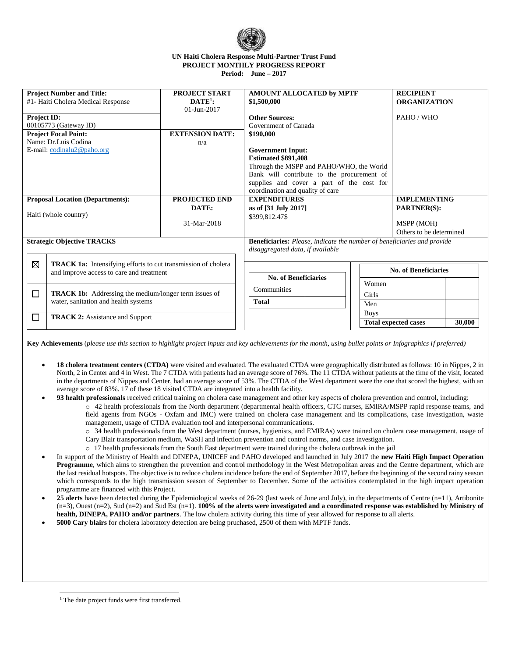

## **UN Haiti Cholera Response Multi-Partner Trust Fund PROJECT MONTHLY PROGRESS REPORT Period: June – 2017**

| <b>Project Number and Title:</b><br>#1- Haiti Cholera Medical Response              |                                                                                                                                                | PROJECT START<br>$\mathbf{DATA}^{1}$ :<br>01-Jun-2017 | AMOUNT ALLOCATED by MPTF<br>\$1,500,000                                                                                                                                                                                                        | <b>RECIPIENT</b><br><b>ORGANIZATION</b>                                            |  |  |
|-------------------------------------------------------------------------------------|------------------------------------------------------------------------------------------------------------------------------------------------|-------------------------------------------------------|------------------------------------------------------------------------------------------------------------------------------------------------------------------------------------------------------------------------------------------------|------------------------------------------------------------------------------------|--|--|
| Project ID:<br>00105773 (Gateway ID)                                                |                                                                                                                                                | <b>EXTENSION DATE:</b>                                | <b>Other Sources:</b><br>Government of Canada                                                                                                                                                                                                  | PAHO/WHO                                                                           |  |  |
| <b>Project Focal Point:</b><br>Name: Dr.Luis Codina<br>E-mail: $codinalu2@paho.org$ |                                                                                                                                                | n/a                                                   | \$190,000<br><b>Government Input:</b><br><b>Estimated \$891,408</b><br>Through the MSPP and PAHO/WHO, the World<br>Bank will contribute to the procurement of<br>supplies and cover a part of the cost for<br>coordination and quality of care |                                                                                    |  |  |
| <b>Proposal Location (Departments):</b><br>Haiti (whole country)                    |                                                                                                                                                | <b>PROJECTED END</b><br>DATE:<br>31-Mar-2018          | <b>EXPENDITURES</b><br>as of [31 July 2017]<br>\$399,812.47\$                                                                                                                                                                                  | <b>IMPLEMENTING</b><br><b>PARTNER(S):</b><br>MSPP (MOH)<br>Others to be determined |  |  |
| <b>Strategic Objective TRACKS</b>                                                   |                                                                                                                                                |                                                       | <b>Beneficiaries:</b> Please, indicate the number of beneficiaries and provide<br>disaggregated data, if available                                                                                                                             |                                                                                    |  |  |
|                                                                                     | $\boxtimes$<br><b>TRACK 1a:</b> Intensifying efforts to cut transmission of cholera<br>and improve access to care and treatment                |                                                       | <b>No. of Beneficiaries</b><br>Women                                                                                                                                                                                                           | <b>No. of Beneficiaries</b>                                                        |  |  |
| □                                                                                   | <b>TRACK 1b:</b> Addressing the medium/longer term issues of<br>water, sanitation and health systems<br><b>TRACK 2:</b> Assistance and Support |                                                       | Communities<br>Girls<br><b>Total</b><br>Men                                                                                                                                                                                                    |                                                                                    |  |  |
| n                                                                                   |                                                                                                                                                |                                                       | <b>Boys</b>                                                                                                                                                                                                                                    | 30,000<br><b>Total expected cases</b>                                              |  |  |

**Key Achievements** (*please use this section to highlight project inputs and key achievements for the month, using bullet points or Infographics if preferred)*

- **18 cholera treatment centers (CTDA)** were visited and evaluated. The evaluated CTDA were geographically distributed as follows: 10 in Nippes, 2 in North, 2 in Center and 4 in West. The 7 CTDA with patients had an average score of 76%. The 11 CTDA without patients at the time of the visit, located in the departments of Nippes and Center, had an average score of 53%. The CTDA of the West department were the one that scored the highest, with an average score of 83%. 17 of these 18 visited CTDA are integrated into a health facility.
- **93 health professionals** received critical training on cholera case management and other key aspects of cholera prevention and control, including:
	- o 42 health professionals from the North department (departmental health officers, CTC nurses, EMIRA/MSPP rapid response teams, and field agents from NGOs - Oxfam and IMC) were trained on cholera case management and its complications, case investigation, waste management, usage of CTDA evaluation tool and interpersonal communications.
		- o 34 health professionals from the West department (nurses, hygienists, and EMIRAs) were trained on cholera case management, usage of
		- Cary Blair transportation medium, WaSH and infection prevention and control norms, and case investigation.
		- o 17 health professionals from the South East department were trained during the cholera outbreak in the jail
- In support of the Ministry of Health and DINEPA, UNICEF and PAHO developed and launched in July 2017 the **new Haiti High Impact Operation Programme**, which aims to strengthen the prevention and control methodology in the West Metropolitan areas and the Centre department, which are the last residual hotspots. The objective is to reduce cholera incidence before the end of September 2017, before the beginning of the second rainy season which corresponds to the high transmission season of September to December. Some of the activities contemplated in the high impact operation programme are financed with this Project.
- **25 alerts** have been detected during the Epidemiological weeks of 26-29 (last week of June and July), in the departments of Centre (n=11), Artibonite (n=3), Ouest (n=2), Sud (n=2) and Sud Est (n=1). **100% of the alerts were investigated and a coordinated response was established by Ministry of health, DINEPA, PAHO and/or partners**. The low cholera activity during this time of year allowed for response to all alerts.
- **5000 Cary blairs** for cholera laboratory detection are being pruchased, 2500 of them with MPTF funds.

j <sup>1</sup> The date project funds were first transferred.